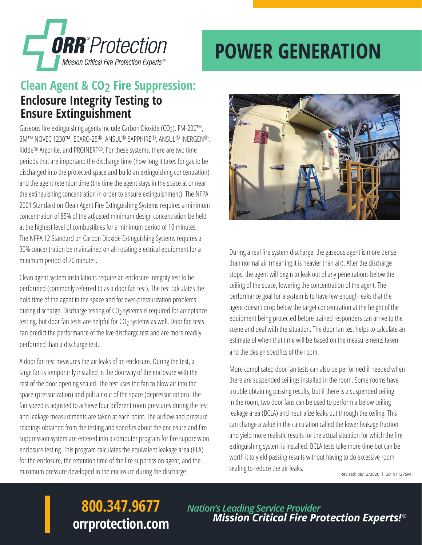

# **POWER GENERATION**

#### **Clean Agent & CO2 Fire Suppression: Enclosure Integrity Testing to Ensure Extinguishment**

Gaseous fire extinguishing agents include Carbon Dioxide (CO2), FM-200™, 3M™ NOVEC 1230™, ECARO-25®, ANSUL® SAPPHIRE®, ANSUL® INERGEN®, Kidde® Argonite, and PROINERT®. For these systems, there are two time periods that are important: the discharge time (how long it takes for gas to be discharged into the protected space and build an extinguishing concentration) and the agent retention time (the time the agent stays in the space at or near the extinguishing concentration in order to ensure extinguishment). The NFPA 2001 Standard on Clean Agent Fire Extinguishing Systems requires a minimum concentration of 85% of the adjusted minimum design concentration be held at the highest level of combustibles for a minimum period of 10 minutes. The NFPA 12 Standard on Carbon Dioxide Extinguishing Systems requires a 30% concentration be maintained on all rotating electrical equipment for a minimum period of 20 minutes.

Clean agent system installations require an enclosure integrity test to be performed (commonly referred to as a door fan test). The test calculates the hold time of the agent in the space and for over-pressurization problems during discharge. Discharge testing of  $CO<sub>2</sub>$  systems is required for acceptance testing, but door fan tests are helpful for CO<sub>2</sub> systems as well. Door fan tests can predict the performance of the live discharge test and are more readily performed than a discharge test.

A door fan test measures the air leaks of an enclosure. During the test, a large fan is temporarily installed in the doorway of the enclosure with the rest of the door opening sealed. The test uses the fan to blow air into the space (pressurization) and pull air out of the space (depressurization). The fan speed is adjusted to achieve four different room pressures during the test and leakage measurements are taken at each point. The airflow and pressure readings obtained from the testing and specifics about the enclosure and fire suppression system are entered into a computer program for fire suppression enclosure testing. This program calculates the equivalent leakage area (ELA) for the enclosure, the retention time of the fire suppression agent, and the maximum pressure developed in the enclosure during the discharge.



During a real fire system discharge, the gaseous agent is more dense than normal air (meaning it is heavier than air). After the discharge stops, the agent will begin to leak out of any penetrations below the ceiling of the space, lowering the concentration of the agent. The performance goal for a system is to have few enough leaks that the agent doesn't drop below the target concentration at the height of the equipment being protected before trained responders can arrive to the scene and deal with the situation. The door fan test helps to calculate an estimate of when that time will be based on the measurements taken and the design specifics of the room.

More complicated door fan tests can also be performed if needed when there are suspended ceilings installed in the room. Some rooms have trouble obtaining passing results, but if there is a suspended ceiling in the room, two door fans can be used to perform a below ceiling leakage area (BCLA) and neutralize leaks out through the ceiling. This can change a value in the calculation called the lower leakage fraction and yield more realistic results for the actual situation for which the fire extinguishing system is installed. BCLA tests take more time but can be worth it to yield passing results without having to do excessive room sealing to reduce the air leaks.

Revised: 08/12/2020 | 20191127SM

## **800.347.9677 orrprotection.com**

*Nation's Leading Service Provider Mission Critical Fire Protection Experts!* ®